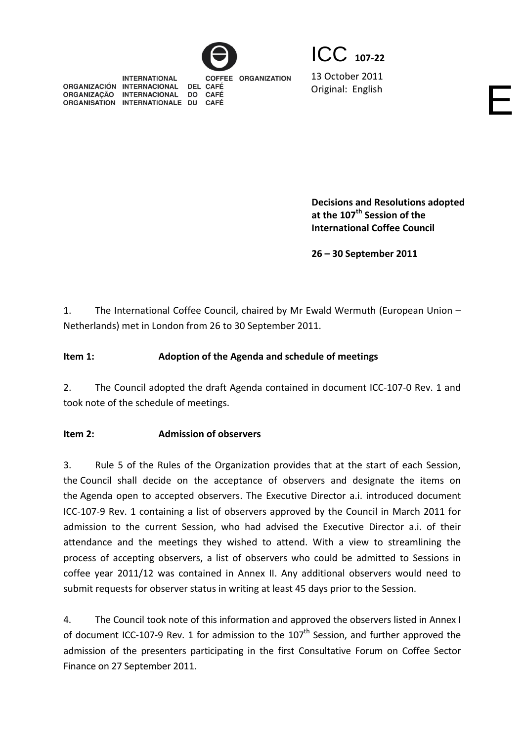

ICC **<sup>107</sup>‐<sup>22</sup>**

**INTERNATIONAL** COFFEE ORGANIZATION ORGANIZACIÓN INTERNACIONAL DEL CAFÉ ORGANIZAÇÃO INTERNACIONAL DO CAFÉ ORGANISATION INTERNATIONALE DU CAFÉ

13 October 2011 Original: English English

**Decisions and Resolutions adopted at the 107th Session of the International Coffee Council** 

**26 – 30 September 2011**

1. The International Coffee Council, chaired by Mr Ewald Wermuth (European Union – Netherlands) met in London from 26 to 30 September 2011.

# **Item 1: Adoption of the Agenda and schedule of meetings**

2. The Council adopted the draft Agenda contained in document ICC-107-0 Rev. 1 and took note of the schedule of meetings.

# **Item 2: Admission of observers**

3. Rule 5 of the Rules of the Organization provides that at the start of each Session, the Council shall decide on the acceptance of observers and designate the items on the Agenda open to accepted observers. The Executive Director a.i. introduced document ICC‐107‐9 Rev. 1 containing a list of observers approved by the Council in March 2011 for admission to the current Session, who had advised the Executive Director a.i. of their attendance and the meetings they wished to attend. With a view to streamlining the process of accepting observers, a list of observers who could be admitted to Sessions in coffee year 2011/12 was contained in Annex II. Any additional observers would need to submit requests for observer status in writing at least 45 days prior to the Session.

4. The Council took note of this information and approved the observers listed in Annex I of document ICC-107-9 Rev. 1 for admission to the  $107<sup>th</sup>$  Session, and further approved the admission of the presenters participating in the first Consultative Forum on Coffee Sector Finance on 27 September 2011.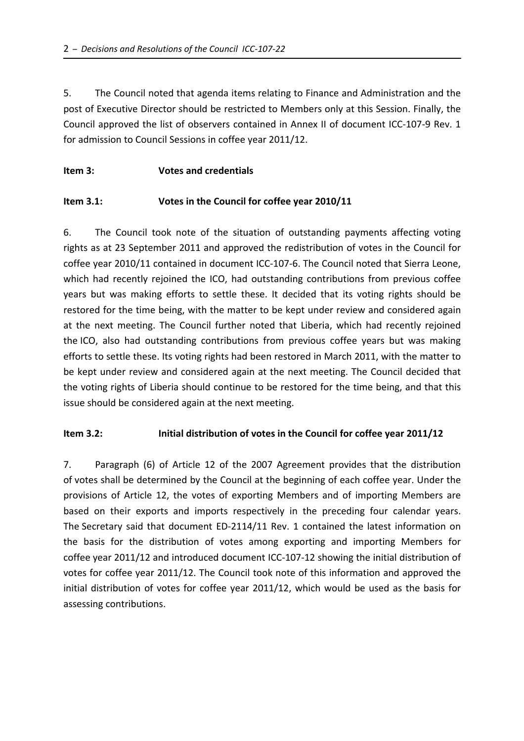5. The Council noted that agenda items relating to Finance and Administration and the post of Executive Director should be restricted to Members only at this Session. Finally, the Council approved the list of observers contained in Annex II of document ICC‐107‐9 Rev. 1 for admission to Council Sessions in coffee year 2011/12.

## **Item 3: Votes and credentials**

## **Item 3.1: Votes in the Council for coffee year 2010/11**

6. The Council took note of the situation of outstanding payments affecting voting rights as at 23 September 2011 and approved the redistribution of votes in the Council for coffee year 2010/11 contained in document ICC‐107‐6. The Council noted that Sierra Leone, which had recently rejoined the ICO, had outstanding contributions from previous coffee years but was making efforts to settle these. It decided that its voting rights should be restored for the time being, with the matter to be kept under review and considered again at the next meeting. The Council further noted that Liberia, which had recently rejoined the ICO, also had outstanding contributions from previous coffee years but was making efforts to settle these. Its voting rights had been restored in March 2011, with the matter to be kept under review and considered again at the next meeting. The Council decided that the voting rights of Liberia should continue to be restored for the time being, and that this issue should be considered again at the next meeting.

## **Item 3.2: Initial distribution of votes in the Council for coffee year 2011/12**

7. Paragraph (6) of Article 12 of the 2007 Agreement provides that the distribution of votes shall be determined by the Council at the beginning of each coffee year. Under the provisions of Article 12, the votes of exporting Members and of importing Members are based on their exports and imports respectively in the preceding four calendar years. The Secretary said that document ED‐2114/11 Rev. 1 contained the latest information on the basis for the distribution of votes among exporting and importing Members for coffee year 2011/12 and introduced document ICC‐107‐12 showing the initial distribution of votes for coffee year 2011/12. The Council took note of this information and approved the initial distribution of votes for coffee year 2011/12, which would be used as the basis for assessing contributions.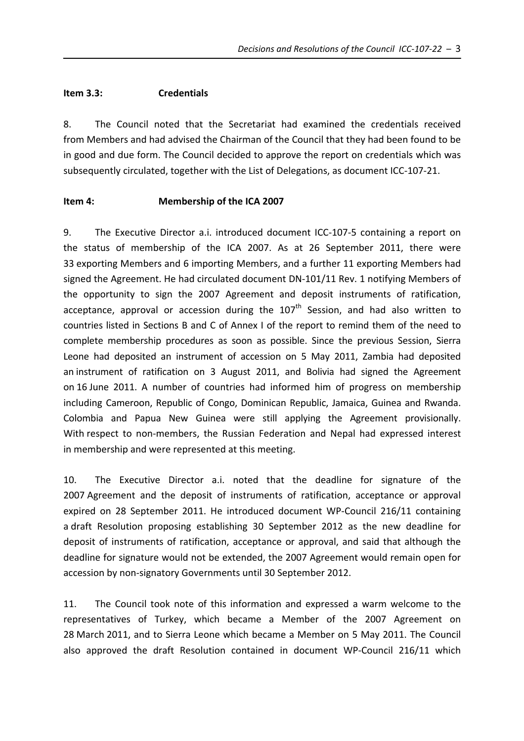#### **Item 3.3: Credentials**

8. The Council noted that the Secretariat had examined the credentials received from Members and had advised the Chairman of the Council that they had been found to be in good and due form. The Council decided to approve the report on credentials which was subsequently circulated, together with the List of Delegations, as document ICC‐107‐21.

### **Item 4: Membership of the ICA 2007**

9. The Executive Director a.i. introduced document ICC-107-5 containing a report on the status of membership of the ICA 2007. As at 26 September 2011, there were 33 exporting Members and 6 importing Members, and a further 11 exporting Members had signed the Agreement. He had circulated document DN‐101/11 Rev. 1 notifying Members of the opportunity to sign the 2007 Agreement and deposit instruments of ratification, acceptance, approval or accession during the  $107<sup>th</sup>$  Session, and had also written to countries listed in Sections B and C of Annex I of the report to remind them of the need to complete membership procedures as soon as possible. Since the previous Session, Sierra Leone had deposited an instrument of accession on 5 May 2011, Zambia had deposited an instrument of ratification on 3 August 2011, and Bolivia had signed the Agreement on 16 June 2011. A number of countries had informed him of progress on membership including Cameroon, Republic of Congo, Dominican Republic, Jamaica, Guinea and Rwanda. Colombia and Papua New Guinea were still applying the Agreement provisionally. With respect to non-members, the Russian Federation and Nepal had expressed interest in membership and were represented at this meeting.

10. The Executive Director a.i. noted that the deadline for signature of the 2007 Agreement and the deposit of instruments of ratification, acceptance or approval expired on 28 September 2011. He introduced document WP‐Council 216/11 containing a draft Resolution proposing establishing 30 September 2012 as the new deadline for deposit of instruments of ratification, acceptance or approval, and said that although the deadline for signature would not be extended, the 2007 Agreement would remain open for accession by non‐signatory Governments until 30 September 2012.

11. The Council took note of this information and expressed a warm welcome to the representatives of Turkey, which became a Member of the 2007 Agreement on 28 March 2011, and to Sierra Leone which became a Member on 5 May 2011. The Council also approved the draft Resolution contained in document WP‐Council 216/11 which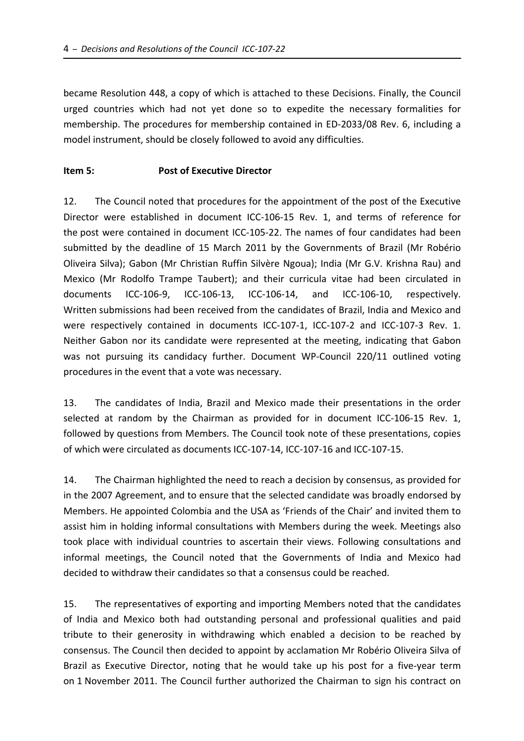became Resolution 448, a copy of which is attached to these Decisions. Finally, the Council urged countries which had not yet done so to expedite the necessary formalities for membership. The procedures for membership contained in ED‐2033/08 Rev. 6, including a model instrument, should be closely followed to avoid any difficulties.

### **Item 5: Post of Executive Director**

12. The Council noted that procedures for the appointment of the post of the Executive Director were established in document ICC-106-15 Rev. 1, and terms of reference for the post were contained in document ICC‐105‐22. The names of four candidates had been submitted by the deadline of 15 March 2011 by the Governments of Brazil (Mr Robério Oliveira Silva); Gabon (Mr Christian Ruffin Silvère Ngoua); India (Mr G.V. Krishna Rau) and Mexico (Mr Rodolfo Trampe Taubert); and their curricula vitae had been circulated in documents ICC‐106‐9, ICC‐106‐13, ICC‐106‐14, and ICC‐106‐10, respectively. Written submissions had been received from the candidates of Brazil, India and Mexico and were respectively contained in documents ICC-107-1, ICC-107-2 and ICC-107-3 Rev. 1. Neither Gabon nor its candidate were represented at the meeting, indicating that Gabon was not pursuing its candidacy further. Document WP-Council 220/11 outlined voting procedures in the event that a vote was necessary.

13. The candidates of India, Brazil and Mexico made their presentations in the order selected at random by the Chairman as provided for in document ICC-106-15 Rev. 1, followed by questions from Members. The Council took note of these presentations, copies of which were circulated as documents ICC‐107‐14, ICC‐107‐16 and ICC‐107‐15.

14. The Chairman highlighted the need to reach a decision by consensus, as provided for in the 2007 Agreement, and to ensure that the selected candidate was broadly endorsed by Members. He appointed Colombia and the USA as 'Friends of the Chair' and invited them to assist him in holding informal consultations with Members during the week. Meetings also took place with individual countries to ascertain their views. Following consultations and informal meetings, the Council noted that the Governments of India and Mexico had decided to withdraw their candidates so that a consensus could be reached.

15. The representatives of exporting and importing Members noted that the candidates of India and Mexico both had outstanding personal and professional qualities and paid tribute to their generosity in withdrawing which enabled a decision to be reached by consensus. The Council then decided to appoint by acclamation Mr Robério Oliveira Silva of Brazil as Executive Director, noting that he would take up his post for a five‐year term on 1 November 2011. The Council further authorized the Chairman to sign his contract on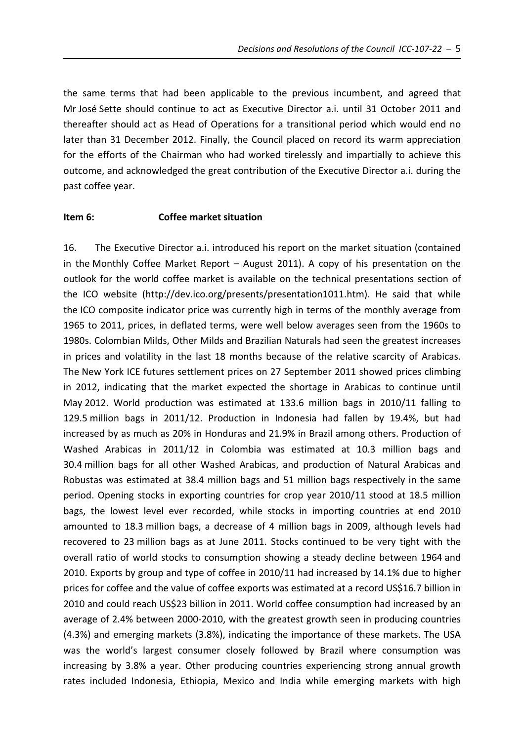the same terms that had been applicable to the previous incumbent, and agreed that Mr José Sette should continue to act as Executive Director a.i. until 31 October 2011 and thereafter should act as Head of Operations for a transitional period which would end no later than 31 December 2012. Finally, the Council placed on record its warm appreciation for the efforts of the Chairman who had worked tirelessly and impartially to achieve this outcome, and acknowledged the great contribution of the Executive Director a.i. during the past coffee year.

#### **Item 6: Coffee market situation**

16. The Executive Director a.i. introduced his report on the market situation (contained in the Monthly Coffee Market Report – August 2011). A copy of his presentation on the outlook for the world coffee market is available on the technical presentations section of the ICO website (http://dev.ico.org/presents/presentation1011.htm). He said that while the ICO composite indicator price was currently high in terms of the monthly average from 1965 to 2011, prices, in deflated terms, were well below averages seen from the 1960s to 1980s. Colombian Milds, Other Milds and Brazilian Naturals had seen the greatest increases in prices and volatility in the last 18 months because of the relative scarcity of Arabicas. The New York ICE futures settlement prices on 27 September 2011 showed prices climbing in 2012, indicating that the market expected the shortage in Arabicas to continue until May 2012. World production was estimated at 133.6 million bags in 2010/11 falling to 129.5 million bags in 2011/12. Production in Indonesia had fallen by 19.4%, but had increased by as much as 20% in Honduras and 21.9% in Brazil among others. Production of Washed Arabicas in 2011/12 in Colombia was estimated at 10.3 million bags and 30.4 million bags for all other Washed Arabicas, and production of Natural Arabicas and Robustas was estimated at 38.4 million bags and 51 million bags respectively in the same period. Opening stocks in exporting countries for crop year 2010/11 stood at 18.5 million bags, the lowest level ever recorded, while stocks in importing countries at end 2010 amounted to 18.3 million bags, a decrease of 4 million bags in 2009, although levels had recovered to 23 million bags as at June 2011. Stocks continued to be very tight with the overall ratio of world stocks to consumption showing a steady decline between 1964 and 2010. Exports by group and type of coffee in 2010/11 had increased by 14.1% due to higher prices for coffee and the value of coffee exports was estimated at a record US\$16.7 billion in 2010 and could reach US\$23 billion in 2011. World coffee consumption had increased by an average of 2.4% between 2000‐2010, with the greatest growth seen in producing countries (4.3%) and emerging markets (3.8%), indicating the importance of these markets. The USA was the world's largest consumer closely followed by Brazil where consumption was increasing by 3.8% a year. Other producing countries experiencing strong annual growth rates included Indonesia, Ethiopia, Mexico and India while emerging markets with high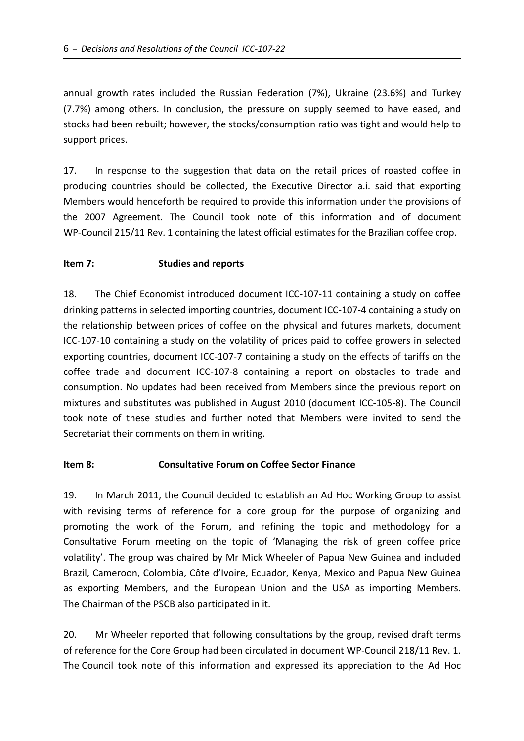annual growth rates included the Russian Federation (7%), Ukraine (23.6%) and Turkey (7.7%) among others. In conclusion, the pressure on supply seemed to have eased, and stocks had been rebuilt; however, the stocks/consumption ratio was tight and would help to support prices.

17. In response to the suggestion that data on the retail prices of roasted coffee in producing countries should be collected, the Executive Director a.i. said that exporting Members would henceforth be required to provide this information under the provisions of the 2007 Agreement. The Council took note of this information and of document WP‐Council 215/11 Rev. 1 containing the latest official estimates for the Brazilian coffee crop.

### **Item 7: Studies and reports**

18. The Chief Economist introduced document ICC‐107‐11 containing a study on coffee drinking patterns in selected importing countries, document ICC‐107‐4 containing a study on the relationship between prices of coffee on the physical and futures markets, document ICC-107-10 containing a study on the volatility of prices paid to coffee growers in selected exporting countries, document ICC‐107‐7 containing a study on the effects of tariffs on the coffee trade and document ICC‐107‐8 containing a report on obstacles to trade and consumption. No updates had been received from Members since the previous report on mixtures and substitutes was published in August 2010 (document ICC‐105‐8). The Council took note of these studies and further noted that Members were invited to send the Secretariat their comments on them in writing.

### **Item 8: Consultative Forum on Coffee Sector Finance**

19. In March 2011, the Council decided to establish an Ad Hoc Working Group to assist with revising terms of reference for a core group for the purpose of organizing and promoting the work of the Forum, and refining the topic and methodology for a Consultative Forum meeting on the topic of 'Managing the risk of green coffee price volatility'. The group was chaired by Mr Mick Wheeler of Papua New Guinea and included Brazil, Cameroon, Colombia, Côte d'Ivoire, Ecuador, Kenya, Mexico and Papua New Guinea as exporting Members, and the European Union and the USA as importing Members. The Chairman of the PSCB also participated in it.

20. Mr Wheeler reported that following consultations by the group, revised draft terms of reference for the Core Group had been circulated in document WP‐Council 218/11 Rev. 1. The Council took note of this information and expressed its appreciation to the Ad Hoc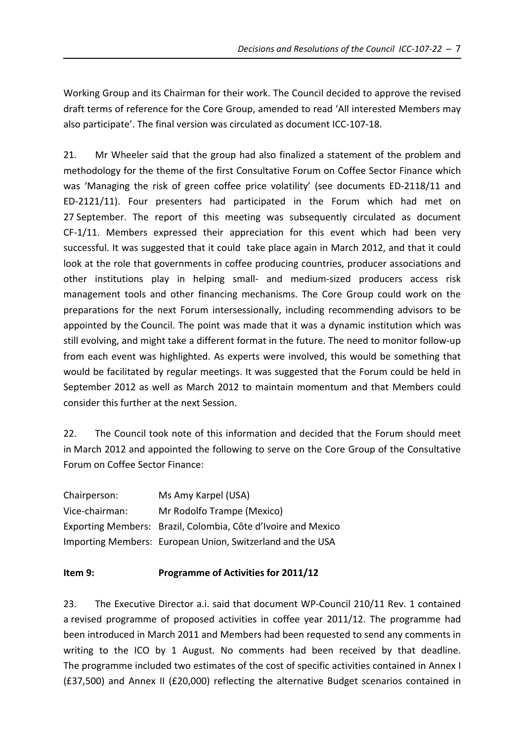Working Group and its Chairman for their work. The Council decided to approve the revised draft terms of reference for the Core Group, amended to read 'All interested Members may also participate'. The final version was circulated as document ICC‐107‐18.

21. Mr Wheeler said that the group had also finalized a statement of the problem and methodology for the theme of the first Consultative Forum on Coffee Sector Finance which was 'Managing the risk of green coffee price volatility' (see documents ED-2118/11 and ED‐2121/11). Four presenters had participated in the Forum which had met on 27 September. The report of this meeting was subsequently circulated as document CF‐1/11. Members expressed their appreciation for this event which had been very successful. It was suggested that it could take place again in March 2012, and that it could look at the role that governments in coffee producing countries, producer associations and other institutions play in helping small‐ and medium‐sized producers access risk management tools and other financing mechanisms. The Core Group could work on the preparations for the next Forum intersessionally, including recommending advisors to be appointed by the Council. The point was made that it was a dynamic institution which was still evolving, and might take a different format in the future. The need to monitor follow‐up from each event was highlighted. As experts were involved, this would be something that would be facilitated by regular meetings. It was suggested that the Forum could be held in September 2012 as well as March 2012 to maintain momentum and that Members could consider this further at the next Session.

22. The Council took note of this information and decided that the Forum should meet in March 2012 and appointed the following to serve on the Core Group of the Consultative Forum on Coffee Sector Finance:

| Chairperson:   | Ms Amy Karpel (USA)                                           |
|----------------|---------------------------------------------------------------|
| Vice-chairman: | Mr Rodolfo Trampe (Mexico)                                    |
|                | Exporting Members: Brazil, Colombia, Côte d'Ivoire and Mexico |
|                | Importing Members: European Union, Switzerland and the USA    |

## **Item 9: Programme of Activities for 2011/12**

23. The Executive Director a.i. said that document WP-Council 210/11 Rev. 1 contained a revised programme of proposed activities in coffee year 2011/12. The programme had been introduced in March 2011 and Members had been requested to send any comments in writing to the ICO by 1 August. No comments had been received by that deadline. The programme included two estimates of the cost of specific activities contained in Annex I (£37,500) and Annex II (£20,000) reflecting the alternative Budget scenarios contained in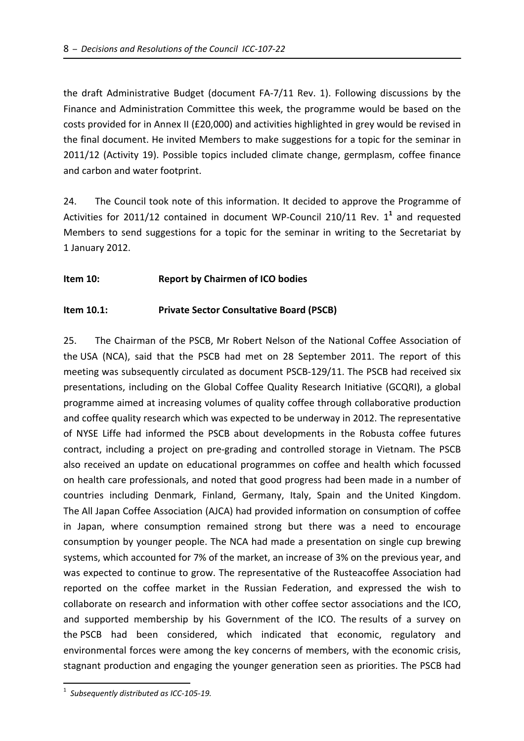the draft Administrative Budget (document FA‐7/11 Rev. 1). Following discussions by the Finance and Administration Committee this week, the programme would be based on the costs provided for in Annex II (£20,000) and activities highlighted in grey would be revised in the final document. He invited Members to make suggestions for a topic for the seminar in 2011/12 (Activity 19). Possible topics included climate change, germplasm, coffee finance and carbon and water footprint.

24. The Council took note of this information. It decided to approve the Programme of Activities for 2011/12 contained in document WP‐Council 210/11 Rev. 1**<sup>1</sup>** and requested Members to send suggestions for a topic for the seminar in writing to the Secretariat by 1 January 2012.

## **Item 10: Report by Chairmen of ICO bodies**

### **Item 10.1: Private Sector Consultative Board (PSCB)**

25. The Chairman of the PSCB, Mr Robert Nelson of the National Coffee Association of the USA (NCA), said that the PSCB had met on 28 September 2011. The report of this meeting was subsequently circulated as document PSCB‐129/11. The PSCB had received six presentations, including on the Global Coffee Quality Research Initiative (GCQRI), a global programme aimed at increasing volumes of quality coffee through collaborative production and coffee quality research which was expected to be underway in 2012. The representative of NYSE Liffe had informed the PSCB about developments in the Robusta coffee futures contract, including a project on pre‐grading and controlled storage in Vietnam. The PSCB also received an update on educational programmes on coffee and health which focussed on health care professionals, and noted that good progress had been made in a number of countries including Denmark, Finland, Germany, Italy, Spain and the United Kingdom. The All Japan Coffee Association (AJCA) had provided information on consumption of coffee in Japan, where consumption remained strong but there was a need to encourage consumption by younger people. The NCA had made a presentation on single cup brewing systems, which accounted for 7% of the market, an increase of 3% on the previous year, and was expected to continue to grow. The representative of the Rusteacoffee Association had reported on the coffee market in the Russian Federation, and expressed the wish to collaborate on research and information with other coffee sector associations and the ICO, and supported membership by his Government of the ICO. The results of a survey on the PSCB had been considered, which indicated that economic, regulatory and environmental forces were among the key concerns of members, with the economic crisis, stagnant production and engaging the younger generation seen as priorities. The PSCB had

 $\overline{a}$ 

<sup>1</sup> *Subsequently distributed as ICC‐105‐19.*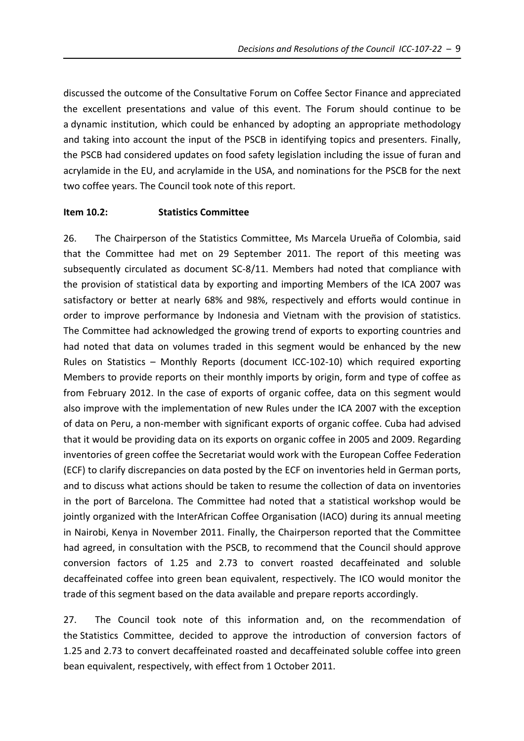discussed the outcome of the Consultative Forum on Coffee Sector Finance and appreciated the excellent presentations and value of this event. The Forum should continue to be a dynamic institution, which could be enhanced by adopting an appropriate methodology and taking into account the input of the PSCB in identifying topics and presenters. Finally, the PSCB had considered updates on food safety legislation including the issue of furan and acrylamide in the EU, and acrylamide in the USA, and nominations for the PSCB for the next two coffee years. The Council took note of this report.

#### **Item 10.2: Statistics Committee**

26. The Chairperson of the Statistics Committee, Ms Marcela Urueña of Colombia, said that the Committee had met on 29 September 2011. The report of this meeting was subsequently circulated as document SC‐8/11. Members had noted that compliance with the provision of statistical data by exporting and importing Members of the ICA 2007 was satisfactory or better at nearly 68% and 98%, respectively and efforts would continue in order to improve performance by Indonesia and Vietnam with the provision of statistics. The Committee had acknowledged the growing trend of exports to exporting countries and had noted that data on volumes traded in this segment would be enhanced by the new Rules on Statistics – Monthly Reports (document ICC‐102‐10) which required exporting Members to provide reports on their monthly imports by origin, form and type of coffee as from February 2012. In the case of exports of organic coffee, data on this segment would also improve with the implementation of new Rules under the ICA 2007 with the exception of data on Peru, a non‐member with significant exports of organic coffee. Cuba had advised that it would be providing data on its exports on organic coffee in 2005 and 2009. Regarding inventories of green coffee the Secretariat would work with the European Coffee Federation (ECF) to clarify discrepancies on data posted by the ECF on inventories held in German ports, and to discuss what actions should be taken to resume the collection of data on inventories in the port of Barcelona. The Committee had noted that a statistical workshop would be jointly organized with the InterAfrican Coffee Organisation (IACO) during its annual meeting in Nairobi, Kenya in November 2011. Finally, the Chairperson reported that the Committee had agreed, in consultation with the PSCB, to recommend that the Council should approve conversion factors of 1.25 and 2.73 to convert roasted decaffeinated and soluble decaffeinated coffee into green bean equivalent, respectively. The ICO would monitor the trade of this segment based on the data available and prepare reports accordingly.

27. The Council took note of this information and, on the recommendation of the Statistics Committee, decided to approve the introduction of conversion factors of 1.25 and 2.73 to convert decaffeinated roasted and decaffeinated soluble coffee into green bean equivalent, respectively, with effect from 1 October 2011.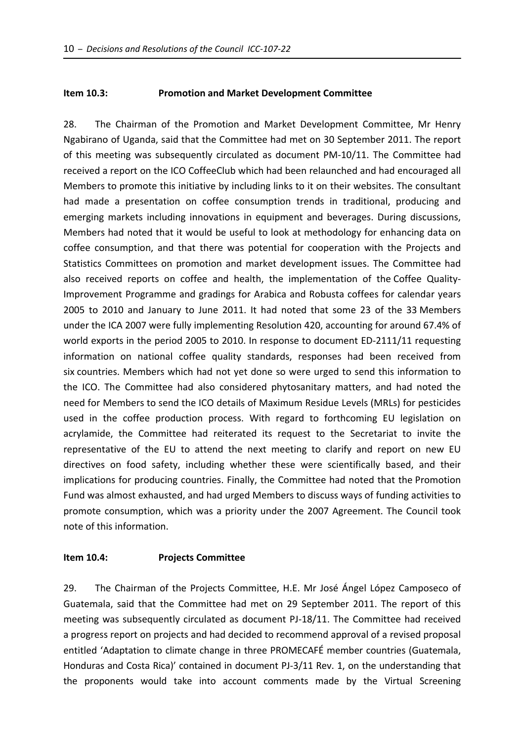### **Item 10.3: Promotion and Market Development Committee**

28. The Chairman of the Promotion and Market Development Committee, Mr Henry Ngabirano of Uganda, said that the Committee had met on 30 September 2011. The report of this meeting was subsequently circulated as document PM‐10/11. The Committee had received a report on the ICO CoffeeClub which had been relaunched and had encouraged all Members to promote this initiative by including links to it on their websites. The consultant had made a presentation on coffee consumption trends in traditional, producing and emerging markets including innovations in equipment and beverages. During discussions, Members had noted that it would be useful to look at methodology for enhancing data on coffee consumption, and that there was potential for cooperation with the Projects and Statistics Committees on promotion and market development issues. The Committee had also received reports on coffee and health, the implementation of the Coffee Quality-Improvement Programme and gradings for Arabica and Robusta coffees for calendar years 2005 to 2010 and January to June 2011. It had noted that some 23 of the 33 Members under the ICA 2007 were fully implementing Resolution 420, accounting for around 67.4% of world exports in the period 2005 to 2010. In response to document ED‐2111/11 requesting information on national coffee quality standards, responses had been received from six countries. Members which had not yet done so were urged to send this information to the ICO. The Committee had also considered phytosanitary matters, and had noted the need for Members to send the ICO details of Maximum Residue Levels (MRLs) for pesticides used in the coffee production process. With regard to forthcoming EU legislation on acrylamide, the Committee had reiterated its request to the Secretariat to invite the representative of the EU to attend the next meeting to clarify and report on new EU directives on food safety, including whether these were scientifically based, and their implications for producing countries. Finally, the Committee had noted that the Promotion Fund was almost exhausted, and had urged Members to discuss ways of funding activities to promote consumption, which was a priority under the 2007 Agreement. The Council took note of this information.

### **Item 10.4: Projects Committee**

29. The Chairman of the Projects Committee, H.E. Mr José Ángel López Camposeco of Guatemala, said that the Committee had met on 29 September 2011. The report of this meeting was subsequently circulated as document PJ‐18/11. The Committee had received a progress report on projects and had decided to recommend approval of a revised proposal entitled 'Adaptation to climate change in three PROMECAFÉ member countries (Guatemala, Honduras and Costa Rica)' contained in document PJ‐3/11 Rev. 1, on the understanding that the proponents would take into account comments made by the Virtual Screening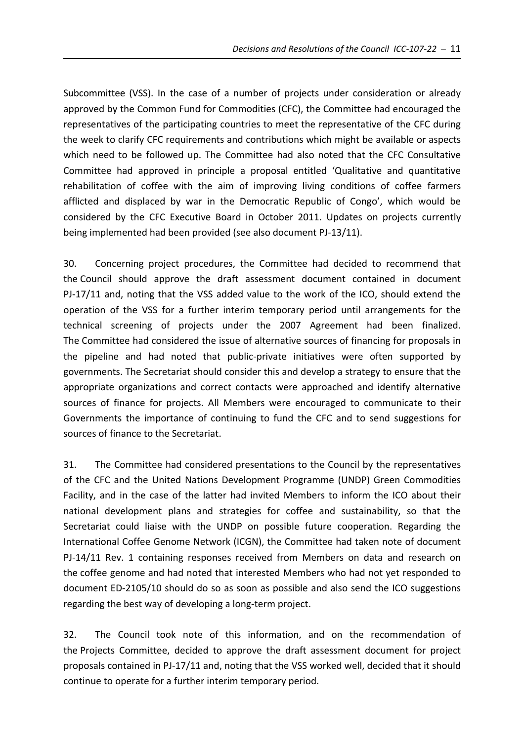Subcommittee (VSS). In the case of a number of projects under consideration or already approved by the Common Fund for Commodities (CFC), the Committee had encouraged the representatives of the participating countries to meet the representative of the CFC during the week to clarify CFC requirements and contributions which might be available or aspects which need to be followed up. The Committee had also noted that the CFC Consultative Committee had approved in principle a proposal entitled 'Qualitative and quantitative rehabilitation of coffee with the aim of improving living conditions of coffee farmers afflicted and displaced by war in the Democratic Republic of Congo', which would be considered by the CFC Executive Board in October 2011. Updates on projects currently being implemented had been provided (see also document PJ‐13/11).

30. Concerning project procedures, the Committee had decided to recommend that the Council should approve the draft assessment document contained in document PJ-17/11 and, noting that the VSS added value to the work of the ICO, should extend the operation of the VSS for a further interim temporary period until arrangements for the technical screening of projects under the 2007 Agreement had been finalized. The Committee had considered the issue of alternative sources of financing for proposals in the pipeline and had noted that public‐private initiatives were often supported by governments. The Secretariat should consider this and develop a strategy to ensure that the appropriate organizations and correct contacts were approached and identify alternative sources of finance for projects. All Members were encouraged to communicate to their Governments the importance of continuing to fund the CFC and to send suggestions for sources of finance to the Secretariat.

31. The Committee had considered presentations to the Council by the representatives of the CFC and the United Nations Development Programme (UNDP) Green Commodities Facility, and in the case of the latter had invited Members to inform the ICO about their national development plans and strategies for coffee and sustainability, so that the Secretariat could liaise with the UNDP on possible future cooperation. Regarding the International Coffee Genome Network (ICGN), the Committee had taken note of document PJ-14/11 Rev. 1 containing responses received from Members on data and research on the coffee genome and had noted that interested Members who had not yet responded to document ED‐2105/10 should do so as soon as possible and also send the ICO suggestions regarding the best way of developing a long‐term project.

32. The Council took note of this information, and on the recommendation of the Projects Committee, decided to approve the draft assessment document for project proposals contained in PJ‐17/11 and, noting that the VSS worked well, decided that it should continue to operate for a further interim temporary period.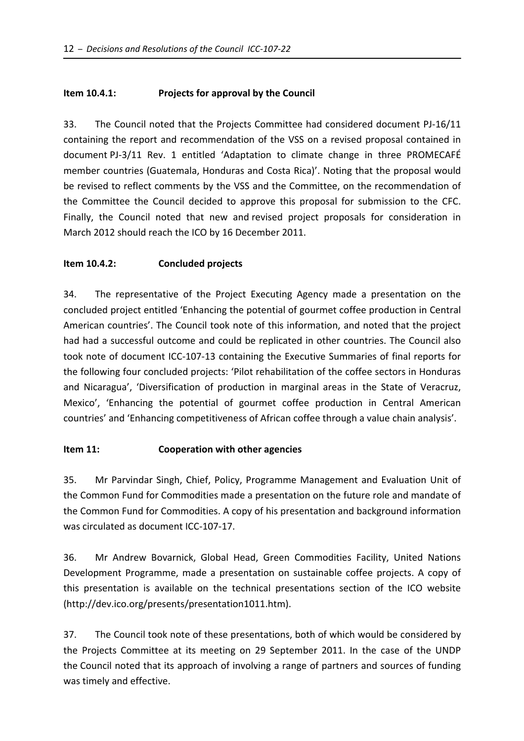## **Item 10.4.1: Projects for approval by the Council**

33. The Council noted that the Projects Committee had considered document PJ‐16/11 containing the report and recommendation of the VSS on a revised proposal contained in document PJ‐3/11 Rev. 1 entitled 'Adaptation to climate change in three PROMECAFÉ member countries (Guatemala, Honduras and Costa Rica)'. Noting that the proposal would be revised to reflect comments by the VSS and the Committee, on the recommendation of the Committee the Council decided to approve this proposal for submission to the CFC. Finally, the Council noted that new and revised project proposals for consideration in March 2012 should reach the ICO by 16 December 2011.

## **Item 10.4.2: Concluded projects**

34. The representative of the Project Executing Agency made a presentation on the concluded project entitled 'Enhancing the potential of gourmet coffee production in Central American countries'. The Council took note of this information, and noted that the project had had a successful outcome and could be replicated in other countries. The Council also took note of document ICC‐107‐13 containing the Executive Summaries of final reports for the following four concluded projects: 'Pilot rehabilitation of the coffee sectors in Honduras and Nicaragua', 'Diversification of production in marginal areas in the State of Veracruz, Mexico', 'Enhancing the potential of gourmet coffee production in Central American countries' and 'Enhancing competitiveness of African coffee through a value chain analysis'.

## **Item 11: Cooperation with other agencies**

35. Mr Parvindar Singh, Chief, Policy, Programme Management and Evaluation Unit of the Common Fund for Commodities made a presentation on the future role and mandate of the Common Fund for Commodities. A copy of his presentation and background information was circulated as document ICC‐107‐17.

36. Mr Andrew Bovarnick, Global Head, Green Commodities Facility, United Nations Development Programme, made a presentation on sustainable coffee projects. A copy of this presentation is available on the technical presentations section of the ICO website (http://dev.ico.org/presents/presentation1011.htm).

37. The Council took note of these presentations, both of which would be considered by the Projects Committee at its meeting on 29 September 2011. In the case of the UNDP the Council noted that its approach of involving a range of partners and sources of funding was timely and effective.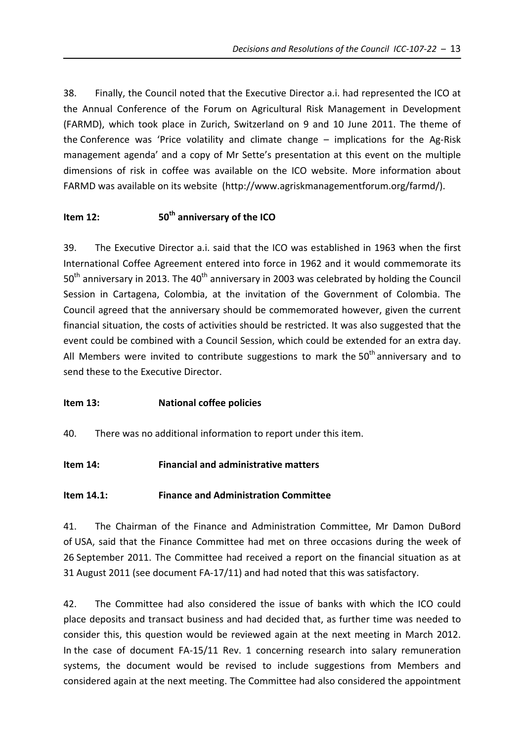38. Finally, the Council noted that the Executive Director a.i. had represented the ICO at the Annual Conference of the Forum on Agricultural Risk Management in Development (FARMD), which took place in Zurich, Switzerland on 9 and 10 June 2011. The theme of the Conference was 'Price volatility and climate change – implications for the Ag‐Risk management agenda' and a copy of Mr Sette's presentation at this event on the multiple dimensions of risk in coffee was available on the ICO website. More information about FARMD was available on its website (http://www.agriskmanagementforum.org/farmd/).

# **Item 12: 12: 50<sup>th</sup>** anniversary of the ICO

39. The Executive Director a.i. said that the ICO was established in 1963 when the first International Coffee Agreement entered into force in 1962 and it would commemorate its  $50<sup>th</sup>$  anniversary in 2013. The 40<sup>th</sup> anniversary in 2003 was celebrated by holding the Council Session in Cartagena, Colombia, at the invitation of the Government of Colombia. The Council agreed that the anniversary should be commemorated however, given the current financial situation, the costs of activities should be restricted. It was also suggested that the event could be combined with a Council Session, which could be extended for an extra day. All Members were invited to contribute suggestions to mark the  $50<sup>th</sup>$  anniversary and to send these to the Executive Director.

# **Item 13: National coffee policies**

40. There was no additional information to report under this item.

# **Item 14: Financial and administrative matters**

# **Item 14.1: Finance and Administration Committee**

41. The Chairman of the Finance and Administration Committee, Mr Damon DuBord of USA, said that the Finance Committee had met on three occasions during the week of 26 September 2011. The Committee had received a report on the financial situation as at 31 August 2011 (see document FA‐17/11) and had noted that this was satisfactory.

42. The Committee had also considered the issue of banks with which the ICO could place deposits and transact business and had decided that, as further time was needed to consider this, this question would be reviewed again at the next meeting in March 2012. In the case of document FA‐15/11 Rev. 1 concerning research into salary remuneration systems, the document would be revised to include suggestions from Members and considered again at the next meeting. The Committee had also considered the appointment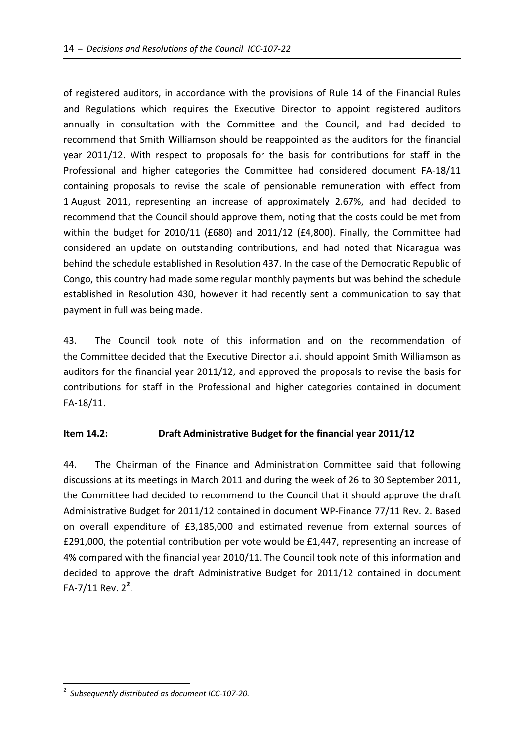of registered auditors, in accordance with the provisions of Rule 14 of the Financial Rules and Regulations which requires the Executive Director to appoint registered auditors annually in consultation with the Committee and the Council, and had decided to recommend that Smith Williamson should be reappointed as the auditors for the financial year 2011/12. With respect to proposals for the basis for contributions for staff in the Professional and higher categories the Committee had considered document FA‐18/11 containing proposals to revise the scale of pensionable remuneration with effect from 1 August 2011, representing an increase of approximately 2.67%, and had decided to recommend that the Council should approve them, noting that the costs could be met from within the budget for 2010/11 (£680) and 2011/12 (£4,800). Finally, the Committee had considered an update on outstanding contributions, and had noted that Nicaragua was behind the schedule established in Resolution 437. In the case of the Democratic Republic of Congo, this country had made some regular monthly payments but was behind the schedule established in Resolution 430, however it had recently sent a communication to say that payment in full was being made.

43. The Council took note of this information and on the recommendation of the Committee decided that the Executive Director a.i. should appoint Smith Williamson as auditors for the financial year 2011/12, and approved the proposals to revise the basis for contributions for staff in the Professional and higher categories contained in document FA‐18/11.

## **Item 14.2: Draft Administrative Budget for the financial year 2011/12**

44. The Chairman of the Finance and Administration Committee said that following discussions at its meetings in March 2011 and during the week of 26 to 30 September 2011, the Committee had decided to recommend to the Council that it should approve the draft Administrative Budget for 2011/12 contained in document WP‐Finance 77/11 Rev. 2. Based on overall expenditure of £3,185,000 and estimated revenue from external sources of £291,000, the potential contribution per vote would be £1,447, representing an increase of 4% compared with the financial year 2010/11. The Council took note of this information and decided to approve the draft Administrative Budget for 2011/12 contained in document FA‐7/11 Rev. 2**<sup>2</sup>** .

 $\overline{a}$ 

<sup>2</sup> *Subsequently distributed as document ICC‐107‐20.*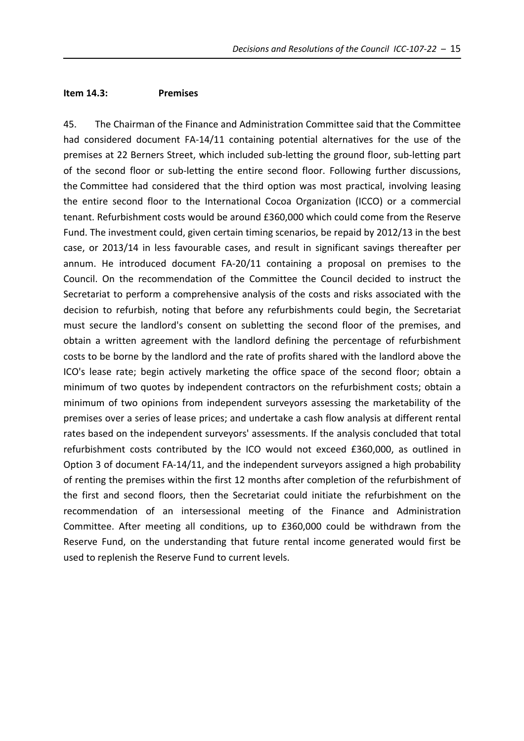#### **Item 14.3: Premises**

45. The Chairman of the Finance and Administration Committee said that the Committee had considered document FA-14/11 containing potential alternatives for the use of the premises at 22 Berners Street, which included sub‐letting the ground floor, sub‐letting part of the second floor or sub‐letting the entire second floor. Following further discussions, the Committee had considered that the third option was most practical, involving leasing the entire second floor to the International Cocoa Organization (ICCO) or a commercial tenant. Refurbishment costs would be around £360,000 which could come from the Reserve Fund. The investment could, given certain timing scenarios, be repaid by 2012/13 in the best case, or 2013/14 in less favourable cases, and result in significant savings thereafter per annum. He introduced document FA‐20/11 containing a proposal on premises to the Council. On the recommendation of the Committee the Council decided to instruct the Secretariat to perform a comprehensive analysis of the costs and risks associated with the decision to refurbish, noting that before any refurbishments could begin, the Secretariat must secure the landlord's consent on subletting the second floor of the premises, and obtain a written agreement with the landlord defining the percentage of refurbishment costs to be borne by the landlord and the rate of profits shared with the landlord above the ICO's lease rate; begin actively marketing the office space of the second floor; obtain a minimum of two quotes by independent contractors on the refurbishment costs; obtain a minimum of two opinions from independent surveyors assessing the marketability of the premises over a series of lease prices; and undertake a cash flow analysis at different rental rates based on the independent surveyors' assessments. If the analysis concluded that total refurbishment costs contributed by the ICO would not exceed £360,000, as outlined in Option 3 of document FA‐14/11, and the independent surveyors assigned a high probability of renting the premises within the first 12 months after completion of the refurbishment of the first and second floors, then the Secretariat could initiate the refurbishment on the recommendation of an intersessional meeting of the Finance and Administration Committee. After meeting all conditions, up to £360,000 could be withdrawn from the Reserve Fund, on the understanding that future rental income generated would first be used to replenish the Reserve Fund to current levels.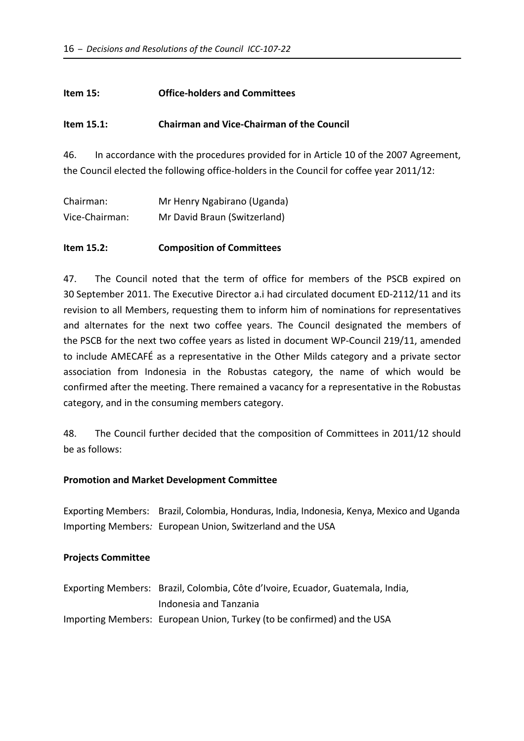### **Item 15: Office‐holders and Committees**

### **Item 15.1: Chairman and Vice‐Chairman of the Council**

46. In accordance with the procedures provided for in Article 10 of the 2007 Agreement, the Council elected the following office-holders in the Council for coffee year 2011/12:

| Chairman:      | Mr Henry Ngabirano (Uganda)  |
|----------------|------------------------------|
| Vice-Chairman: | Mr David Braun (Switzerland) |

### **Item 15.2: Composition of Committees**

47. The Council noted that the term of office for members of the PSCB expired on 30 September 2011. The Executive Director a.i had circulated document ED‐2112/11 and its revision to all Members, requesting them to inform him of nominations for representatives and alternates for the next two coffee years. The Council designated the members of the PSCB for the next two coffee years as listed in document WP‐Council 219/11, amended to include AMECAFÉ as a representative in the Other Milds category and a private sector association from Indonesia in the Robustas category, the name of which would be confirmed after the meeting. There remained a vacancy for a representative in the Robustas category, and in the consuming members category.

48. The Council further decided that the composition of Committees in 2011/12 should be as follows:

#### **Promotion and Market Development Committee**

Exporting Members: Brazil, Colombia, Honduras, India, Indonesia, Kenya, Mexico and Uganda Importing Members*:* European Union, Switzerland and the USA

#### **Projects Committee**

| Exporting Members: Brazil, Colombia, Côte d'Ivoire, Ecuador, Guatemala, India, |
|--------------------------------------------------------------------------------|
| Indonesia and Tanzania                                                         |
| Importing Members: European Union, Turkey (to be confirmed) and the USA        |